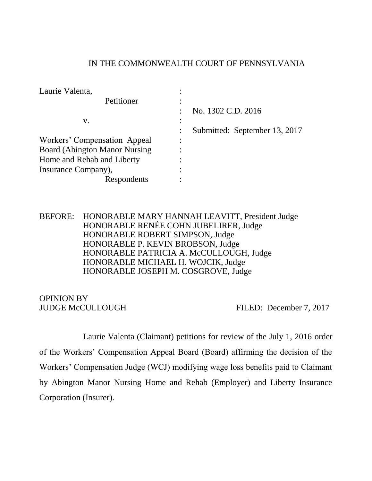## IN THE COMMONWEALTH COURT OF PENNSYLVANIA

| Laurie Valenta,                      |                               |
|--------------------------------------|-------------------------------|
| Petitioner                           |                               |
|                                      | No. 1302 C.D. 2016            |
| V.                                   |                               |
|                                      | Submitted: September 13, 2017 |
| Workers' Compensation Appeal         |                               |
| <b>Board (Abington Manor Nursing</b> |                               |
| Home and Rehab and Liberty           |                               |
| Insurance Company),                  |                               |
| Respondents                          |                               |

BEFORE: HONORABLE MARY HANNAH LEAVITT, President Judge HONORABLE RENÉE COHN JUBELIRER, Judge HONORABLE ROBERT SIMPSON, Judge HONORABLE P. KEVIN BROBSON, Judge HONORABLE PATRICIA A. McCULLOUGH, Judge HONORABLE MICHAEL H. WOJCIK, Judge HONORABLE JOSEPH M. COSGROVE, Judge

# OPINION BY

JUDGE McCULLOUGH FILED: December 7, 2017

Laurie Valenta (Claimant) petitions for review of the July 1, 2016 order of the Workers' Compensation Appeal Board (Board) affirming the decision of the Workers' Compensation Judge (WCJ) modifying wage loss benefits paid to Claimant by Abington Manor Nursing Home and Rehab (Employer) and Liberty Insurance Corporation (Insurer).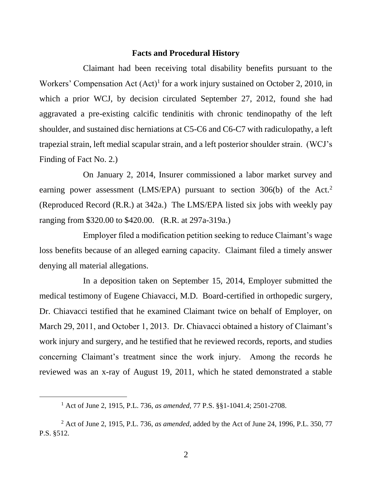#### **Facts and Procedural History**

Claimant had been receiving total disability benefits pursuant to the Workers' Compensation Act  $(Act)^{1}$  for a work injury sustained on October 2, 2010, in which a prior WCJ, by decision circulated September 27, 2012, found she had aggravated a pre-existing calcific tendinitis with chronic tendinopathy of the left shoulder, and sustained disc herniations at C5-C6 and C6-C7 with radiculopathy, a left trapezial strain, left medial scapular strain, and a left posterior shoulder strain. (WCJ's Finding of Fact No. 2.)

On January 2, 2014, Insurer commissioned a labor market survey and earning power assessment (LMS/EPA) pursuant to section  $306(b)$  of the Act.<sup>2</sup> (Reproduced Record (R.R.) at 342a.) The LMS/EPA listed six jobs with weekly pay ranging from \$320.00 to \$420.00. (R.R. at 297a-319a.)

Employer filed a modification petition seeking to reduce Claimant's wage loss benefits because of an alleged earning capacity. Claimant filed a timely answer denying all material allegations.

In a deposition taken on September 15, 2014, Employer submitted the medical testimony of Eugene Chiavacci, M.D. Board-certified in orthopedic surgery, Dr. Chiavacci testified that he examined Claimant twice on behalf of Employer, on March 29, 2011, and October 1, 2013. Dr. Chiavacci obtained a history of Claimant's work injury and surgery, and he testified that he reviewed records, reports, and studies concerning Claimant's treatment since the work injury. Among the records he reviewed was an x-ray of August 19, 2011, which he stated demonstrated a stable

<sup>1</sup> Act of June 2, 1915, P.L. 736, *as amended*, 77 P.S. §§1-1041.4; 2501-2708.

<sup>2</sup> Act of June 2, 1915, P.L. 736, *as amended*, added by the Act of June 24, 1996, P.L. 350, 77 P.S. §512.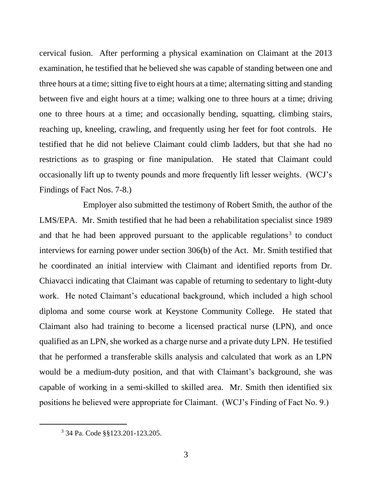cervical fusion. After performing a physical examination on Claimant at the 2013 examination, he testified that he believed she was capable of standing between one and three hours at a time; sitting five to eight hours at a time; alternating sitting and standing between five and eight hours at a time; walking one to three hours at a time; driving one to three hours at a time; and occasionally bending, squatting, climbing stairs, reaching up, kneeling, crawling, and frequently using her feet for foot controls. He testified that he did not believe Claimant could climb ladders, but that she had no restrictions as to grasping or fine manipulation. He stated that Claimant could occasionally lift up to twenty pounds and more frequently lift lesser weights. (WCJ's Findings of Fact Nos. 7-8.)

Employer also submitted the testimony of Robert Smith, the author of the LMS/EPA. Mr. Smith testified that he had been a rehabilitation specialist since 1989 and that he had been approved pursuant to the applicable regulations<sup>3</sup> to conduct interviews for earning power under section 306(b) of the Act. Mr. Smith testified that he coordinated an initial interview with Claimant and identified reports from Dr. Chiavacci indicating that Claimant was capable of returning to sedentary to light-duty work. He noted Claimant's educational background, which included a high school diploma and some course work at Keystone Community College. He stated that Claimant also had training to become a licensed practical nurse (LPN), and once qualified as an LPN, she worked as a charge nurse and a private duty LPN. He testified that he performed a transferable skills analysis and calculated that work as an LPN would be a medium-duty position, and that with Claimant's background, she was capable of working in a semi-skilled to skilled area. Mr. Smith then identified six positions he believed were appropriate for Claimant. (WCJ's Finding of Fact No. 9.)

<sup>3</sup> 34 Pa. Code §§123.201-123.205.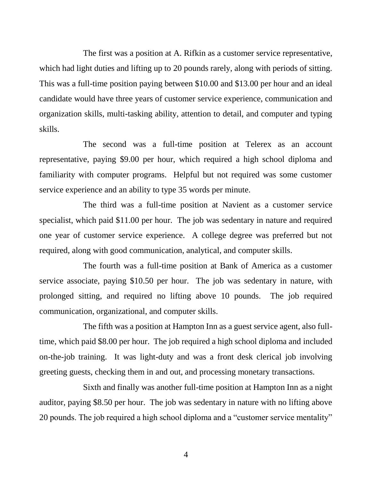The first was a position at A. Rifkin as a customer service representative, which had light duties and lifting up to 20 pounds rarely, along with periods of sitting. This was a full-time position paying between \$10.00 and \$13.00 per hour and an ideal candidate would have three years of customer service experience, communication and organization skills, multi-tasking ability, attention to detail, and computer and typing skills.

The second was a full-time position at Telerex as an account representative, paying \$9.00 per hour, which required a high school diploma and familiarity with computer programs. Helpful but not required was some customer service experience and an ability to type 35 words per minute.

The third was a full-time position at Navient as a customer service specialist, which paid \$11.00 per hour. The job was sedentary in nature and required one year of customer service experience. A college degree was preferred but not required, along with good communication, analytical, and computer skills.

The fourth was a full-time position at Bank of America as a customer service associate, paying \$10.50 per hour. The job was sedentary in nature, with prolonged sitting, and required no lifting above 10 pounds. The job required communication, organizational, and computer skills.

The fifth was a position at Hampton Inn as a guest service agent, also fulltime, which paid \$8.00 per hour. The job required a high school diploma and included on-the-job training. It was light-duty and was a front desk clerical job involving greeting guests, checking them in and out, and processing monetary transactions.

Sixth and finally was another full-time position at Hampton Inn as a night auditor, paying \$8.50 per hour. The job was sedentary in nature with no lifting above 20 pounds. The job required a high school diploma and a "customer service mentality"

4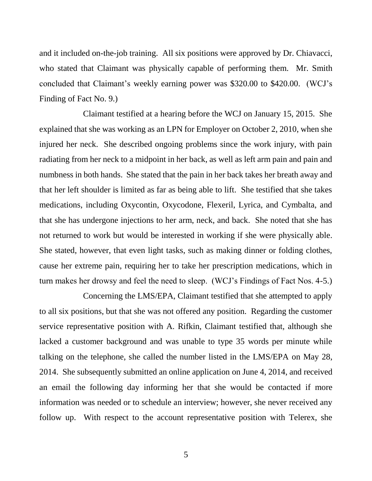and it included on-the-job training. All six positions were approved by Dr. Chiavacci, who stated that Claimant was physically capable of performing them. Mr. Smith concluded that Claimant's weekly earning power was \$320.00 to \$420.00. (WCJ's Finding of Fact No. 9.)

Claimant testified at a hearing before the WCJ on January 15, 2015. She explained that she was working as an LPN for Employer on October 2, 2010, when she injured her neck. She described ongoing problems since the work injury, with pain radiating from her neck to a midpoint in her back, as well as left arm pain and pain and numbness in both hands. She stated that the pain in her back takes her breath away and that her left shoulder is limited as far as being able to lift. She testified that she takes medications, including Oxycontin, Oxycodone, Flexeril, Lyrica, and Cymbalta, and that she has undergone injections to her arm, neck, and back. She noted that she has not returned to work but would be interested in working if she were physically able. She stated, however, that even light tasks, such as making dinner or folding clothes, cause her extreme pain, requiring her to take her prescription medications, which in turn makes her drowsy and feel the need to sleep. (WCJ's Findings of Fact Nos. 4-5.)

Concerning the LMS/EPA, Claimant testified that she attempted to apply to all six positions, but that she was not offered any position. Regarding the customer service representative position with A. Rifkin, Claimant testified that, although she lacked a customer background and was unable to type 35 words per minute while talking on the telephone, she called the number listed in the LMS/EPA on May 28, 2014. She subsequently submitted an online application on June 4, 2014, and received an email the following day informing her that she would be contacted if more information was needed or to schedule an interview; however, she never received any follow up. With respect to the account representative position with Telerex, she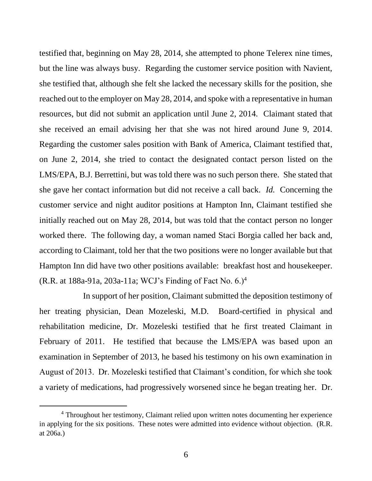testified that, beginning on May 28, 2014, she attempted to phone Telerex nine times, but the line was always busy. Regarding the customer service position with Navient, she testified that, although she felt she lacked the necessary skills for the position, she reached out to the employer on May 28, 2014, and spoke with a representative in human resources, but did not submit an application until June 2, 2014. Claimant stated that she received an email advising her that she was not hired around June 9, 2014. Regarding the customer sales position with Bank of America, Claimant testified that, on June 2, 2014, she tried to contact the designated contact person listed on the LMS/EPA, B.J. Berrettini, but was told there was no such person there. She stated that she gave her contact information but did not receive a call back. *Id.* Concerning the customer service and night auditor positions at Hampton Inn, Claimant testified she initially reached out on May 28, 2014, but was told that the contact person no longer worked there. The following day, a woman named Staci Borgia called her back and, according to Claimant, told her that the two positions were no longer available but that Hampton Inn did have two other positions available: breakfast host and housekeeper. (R.R. at 188a-91a, 203a-11a; WCJ's Finding of Fact No. 6.)<sup>4</sup>

In support of her position, Claimant submitted the deposition testimony of her treating physician, Dean Mozeleski, M.D. Board-certified in physical and rehabilitation medicine, Dr. Mozeleski testified that he first treated Claimant in February of 2011. He testified that because the LMS/EPA was based upon an examination in September of 2013, he based his testimony on his own examination in August of 2013. Dr. Mozeleski testified that Claimant's condition, for which she took a variety of medications, had progressively worsened since he began treating her. Dr.

<sup>4</sup> Throughout her testimony, Claimant relied upon written notes documenting her experience in applying for the six positions. These notes were admitted into evidence without objection. (R.R. at 206a.)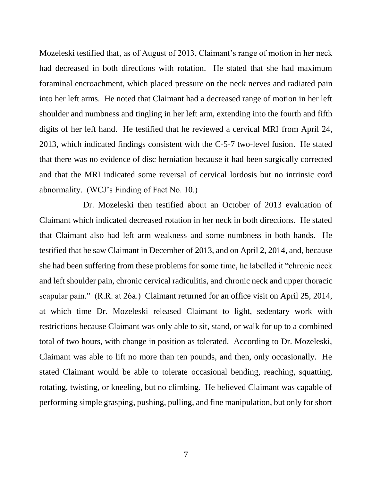Mozeleski testified that, as of August of 2013, Claimant's range of motion in her neck had decreased in both directions with rotation. He stated that she had maximum foraminal encroachment, which placed pressure on the neck nerves and radiated pain into her left arms. He noted that Claimant had a decreased range of motion in her left shoulder and numbness and tingling in her left arm, extending into the fourth and fifth digits of her left hand. He testified that he reviewed a cervical MRI from April 24, 2013, which indicated findings consistent with the C-5-7 two-level fusion. He stated that there was no evidence of disc herniation because it had been surgically corrected and that the MRI indicated some reversal of cervical lordosis but no intrinsic cord abnormality. (WCJ's Finding of Fact No. 10.)

Dr. Mozeleski then testified about an October of 2013 evaluation of Claimant which indicated decreased rotation in her neck in both directions. He stated that Claimant also had left arm weakness and some numbness in both hands. He testified that he saw Claimant in December of 2013, and on April 2, 2014, and, because she had been suffering from these problems for some time, he labelled it "chronic neck and left shoulder pain, chronic cervical radiculitis, and chronic neck and upper thoracic scapular pain." (R.R. at 26a.) Claimant returned for an office visit on April 25, 2014, at which time Dr. Mozeleski released Claimant to light, sedentary work with restrictions because Claimant was only able to sit, stand, or walk for up to a combined total of two hours, with change in position as tolerated. According to Dr. Mozeleski, Claimant was able to lift no more than ten pounds, and then, only occasionally. He stated Claimant would be able to tolerate occasional bending, reaching, squatting, rotating, twisting, or kneeling, but no climbing. He believed Claimant was capable of performing simple grasping, pushing, pulling, and fine manipulation, but only for short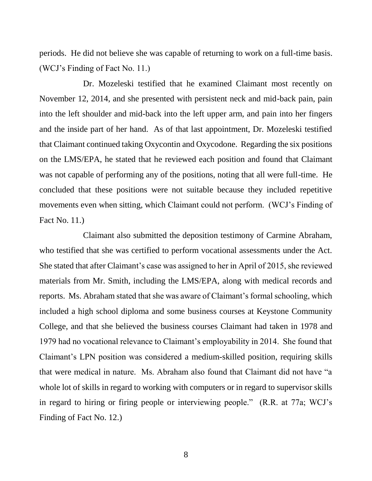periods. He did not believe she was capable of returning to work on a full-time basis. (WCJ's Finding of Fact No. 11.)

Dr. Mozeleski testified that he examined Claimant most recently on November 12, 2014, and she presented with persistent neck and mid-back pain, pain into the left shoulder and mid-back into the left upper arm, and pain into her fingers and the inside part of her hand. As of that last appointment, Dr. Mozeleski testified that Claimant continued taking Oxycontin and Oxycodone. Regarding the six positions on the LMS/EPA, he stated that he reviewed each position and found that Claimant was not capable of performing any of the positions, noting that all were full-time. He concluded that these positions were not suitable because they included repetitive movements even when sitting, which Claimant could not perform. (WCJ's Finding of Fact No. 11.)

Claimant also submitted the deposition testimony of Carmine Abraham, who testified that she was certified to perform vocational assessments under the Act. She stated that after Claimant's case was assigned to her in April of 2015, she reviewed materials from Mr. Smith, including the LMS/EPA, along with medical records and reports. Ms. Abraham stated that she was aware of Claimant's formal schooling, which included a high school diploma and some business courses at Keystone Community College, and that she believed the business courses Claimant had taken in 1978 and 1979 had no vocational relevance to Claimant's employability in 2014. She found that Claimant's LPN position was considered a medium-skilled position, requiring skills that were medical in nature. Ms. Abraham also found that Claimant did not have "a whole lot of skills in regard to working with computers or in regard to supervisor skills in regard to hiring or firing people or interviewing people." (R.R. at 77a; WCJ's Finding of Fact No. 12.)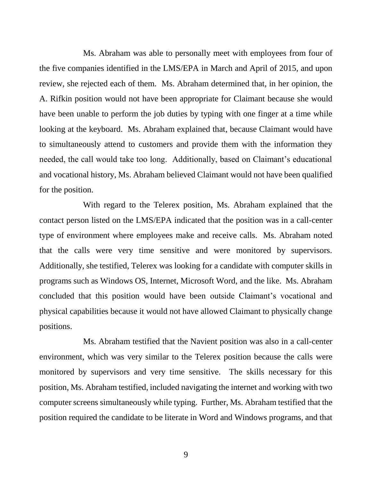Ms. Abraham was able to personally meet with employees from four of the five companies identified in the LMS/EPA in March and April of 2015, and upon review, she rejected each of them. Ms. Abraham determined that, in her opinion, the A. Rifkin position would not have been appropriate for Claimant because she would have been unable to perform the job duties by typing with one finger at a time while looking at the keyboard. Ms. Abraham explained that, because Claimant would have to simultaneously attend to customers and provide them with the information they needed, the call would take too long. Additionally, based on Claimant's educational and vocational history, Ms. Abraham believed Claimant would not have been qualified for the position.

With regard to the Telerex position, Ms. Abraham explained that the contact person listed on the LMS/EPA indicated that the position was in a call-center type of environment where employees make and receive calls. Ms. Abraham noted that the calls were very time sensitive and were monitored by supervisors. Additionally, she testified, Telerex was looking for a candidate with computer skills in programs such as Windows OS, Internet, Microsoft Word, and the like. Ms. Abraham concluded that this position would have been outside Claimant's vocational and physical capabilities because it would not have allowed Claimant to physically change positions.

Ms. Abraham testified that the Navient position was also in a call-center environment, which was very similar to the Telerex position because the calls were monitored by supervisors and very time sensitive. The skills necessary for this position, Ms. Abraham testified, included navigating the internet and working with two computer screens simultaneously while typing. Further, Ms. Abraham testified that the position required the candidate to be literate in Word and Windows programs, and that

9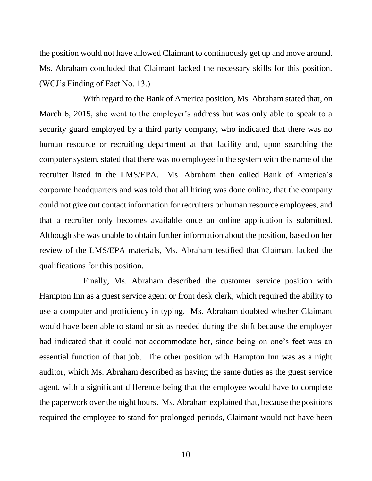the position would not have allowed Claimant to continuously get up and move around. Ms. Abraham concluded that Claimant lacked the necessary skills for this position. (WCJ's Finding of Fact No. 13.)

With regard to the Bank of America position, Ms. Abraham stated that, on March 6, 2015, she went to the employer's address but was only able to speak to a security guard employed by a third party company, who indicated that there was no human resource or recruiting department at that facility and, upon searching the computer system, stated that there was no employee in the system with the name of the recruiter listed in the LMS/EPA. Ms. Abraham then called Bank of America's corporate headquarters and was told that all hiring was done online, that the company could not give out contact information for recruiters or human resource employees, and that a recruiter only becomes available once an online application is submitted. Although she was unable to obtain further information about the position, based on her review of the LMS/EPA materials, Ms. Abraham testified that Claimant lacked the qualifications for this position.

Finally, Ms. Abraham described the customer service position with Hampton Inn as a guest service agent or front desk clerk, which required the ability to use a computer and proficiency in typing. Ms. Abraham doubted whether Claimant would have been able to stand or sit as needed during the shift because the employer had indicated that it could not accommodate her, since being on one's feet was an essential function of that job. The other position with Hampton Inn was as a night auditor, which Ms. Abraham described as having the same duties as the guest service agent, with a significant difference being that the employee would have to complete the paperwork over the night hours. Ms. Abraham explained that, because the positions required the employee to stand for prolonged periods, Claimant would not have been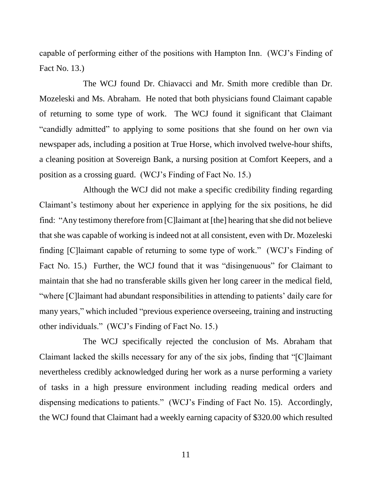capable of performing either of the positions with Hampton Inn. (WCJ's Finding of Fact No. 13.)

The WCJ found Dr. Chiavacci and Mr. Smith more credible than Dr. Mozeleski and Ms. Abraham. He noted that both physicians found Claimant capable of returning to some type of work. The WCJ found it significant that Claimant "candidly admitted" to applying to some positions that she found on her own via newspaper ads, including a position at True Horse, which involved twelve-hour shifts, a cleaning position at Sovereign Bank, a nursing position at Comfort Keepers, and a position as a crossing guard. (WCJ's Finding of Fact No. 15.)

Although the WCJ did not make a specific credibility finding regarding Claimant's testimony about her experience in applying for the six positions, he did find: "Any testimony therefore from [C]laimant at [the] hearing that she did not believe that she was capable of working is indeed not at all consistent, even with Dr. Mozeleski finding [C]laimant capable of returning to some type of work." (WCJ's Finding of Fact No. 15.) Further, the WCJ found that it was "disingenuous" for Claimant to maintain that she had no transferable skills given her long career in the medical field, "where [C]laimant had abundant responsibilities in attending to patients' daily care for many years," which included "previous experience overseeing, training and instructing other individuals." (WCJ's Finding of Fact No. 15.)

The WCJ specifically rejected the conclusion of Ms. Abraham that Claimant lacked the skills necessary for any of the six jobs, finding that "[C]laimant nevertheless credibly acknowledged during her work as a nurse performing a variety of tasks in a high pressure environment including reading medical orders and dispensing medications to patients." (WCJ's Finding of Fact No. 15). Accordingly, the WCJ found that Claimant had a weekly earning capacity of \$320.00 which resulted

11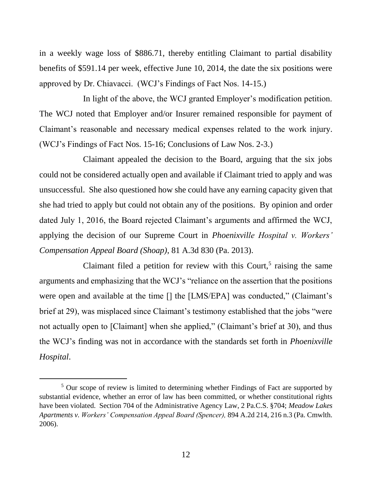in a weekly wage loss of \$886.71, thereby entitling Claimant to partial disability benefits of \$591.14 per week, effective June 10, 2014, the date the six positions were approved by Dr. Chiavacci. (WCJ's Findings of Fact Nos. 14-15.)

In light of the above, the WCJ granted Employer's modification petition. The WCJ noted that Employer and/or Insurer remained responsible for payment of Claimant's reasonable and necessary medical expenses related to the work injury. (WCJ's Findings of Fact Nos. 15-16; Conclusions of Law Nos. 2-3.)

Claimant appealed the decision to the Board, arguing that the six jobs could not be considered actually open and available if Claimant tried to apply and was unsuccessful. She also questioned how she could have any earning capacity given that she had tried to apply but could not obtain any of the positions. By opinion and order dated July 1, 2016, the Board rejected Claimant's arguments and affirmed the WCJ, applying the decision of our Supreme Court in *Phoenixville Hospital v. Workers' Compensation Appeal Board (Shoap)*, 81 A.3d 830 (Pa. 2013).

Claimant filed a petition for review with this Court,<sup>5</sup> raising the same arguments and emphasizing that the WCJ's "reliance on the assertion that the positions were open and available at the time [] the [LMS/EPA] was conducted," (Claimant's brief at 29), was misplaced since Claimant's testimony established that the jobs "were not actually open to [Claimant] when she applied," (Claimant's brief at 30), and thus the WCJ's finding was not in accordance with the standards set forth in *Phoenixville Hospital*.

<sup>&</sup>lt;sup>5</sup> Our scope of review is limited to determining whether Findings of Fact are supported by substantial evidence, whether an error of law has been committed, or whether constitutional rights have been violated. Section 704 of the Administrative Agency Law, 2 Pa.C.S. §704; *Meadow Lakes Apartments v. Workers' Compensation Appeal Board (Spencer),* 894 A.2d 214, 216 n.3 (Pa. Cmwlth. 2006).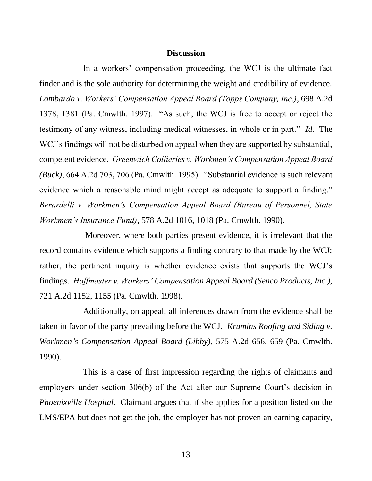#### **Discussion**

In a workers' compensation proceeding, the WCJ is the ultimate fact finder and is the sole authority for determining the weight and credibility of evidence. *Lombardo v. Workers' Compensation Appeal Board (Topps Company, Inc.)*, 698 A.2d 1378, 1381 (Pa. Cmwlth. 1997). "As such, the WCJ is free to accept or reject the testimony of any witness, including medical witnesses, in whole or in part." *Id.* The WCJ's findings will not be disturbed on appeal when they are supported by substantial, competent evidence. *Greenwich Collieries v. Workmen's Compensation Appeal Board (Buck)*, 664 A.2d 703, 706 (Pa. Cmwlth. 1995). "Substantial evidence is such relevant evidence which a reasonable mind might accept as adequate to support a finding." *Berardelli v. Workmen's Compensation Appeal Board (Bureau of Personnel, State Workmen's Insurance Fund)*, 578 A.2d 1016, 1018 (Pa. Cmwlth. 1990).

Moreover, where both parties present evidence, it is irrelevant that the record contains evidence which supports a finding contrary to that made by the WCJ; rather, the pertinent inquiry is whether evidence exists that supports the WCJ's findings. *Hoffmaster v. Workers' Compensation Appeal Board (Senco Products, Inc.)*, 721 A.2d 1152, 1155 (Pa. Cmwlth. 1998).

Additionally, on appeal, all inferences drawn from the evidence shall be taken in favor of the party prevailing before the WCJ. *Krumins Roofing and Siding v. Workmen's Compensation Appeal Board (Libby)*, 575 A.2d 656, 659 (Pa. Cmwlth. 1990).

This is a case of first impression regarding the rights of claimants and employers under section 306(b) of the Act after our Supreme Court's decision in *Phoenixville Hospital*. Claimant argues that if she applies for a position listed on the LMS/EPA but does not get the job, the employer has not proven an earning capacity,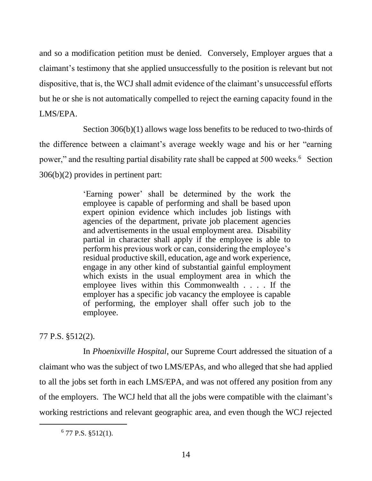and so a modification petition must be denied. Conversely, Employer argues that a claimant's testimony that she applied unsuccessfully to the position is relevant but not dispositive, that is, the WCJ shall admit evidence of the claimant's unsuccessful efforts but he or she is not automatically compelled to reject the earning capacity found in the LMS/EPA.

Section 306(b)(1) allows wage loss benefits to be reduced to two-thirds of the difference between a claimant's average weekly wage and his or her "earning power," and the resulting partial disability rate shall be capped at 500 weeks.<sup>6</sup> Section 306(b)(2) provides in pertinent part:

> 'Earning power' shall be determined by the work the employee is capable of performing and shall be based upon expert opinion evidence which includes job listings with agencies of the department, private job placement agencies and advertisements in the usual employment area. Disability partial in character shall apply if the employee is able to perform his previous work or can, considering the employee's residual productive skill, education, age and work experience, engage in any other kind of substantial gainful employment which exists in the usual employment area in which the employee lives within this Commonwealth . . . . If the employer has a specific job vacancy the employee is capable of performing, the employer shall offer such job to the employee.

77 P.S. §512(2).

l

In *Phoenixville Hospital*, our Supreme Court addressed the situation of a claimant who was the subject of two LMS/EPAs, and who alleged that she had applied to all the jobs set forth in each LMS/EPA, and was not offered any position from any of the employers. The WCJ held that all the jobs were compatible with the claimant's working restrictions and relevant geographic area, and even though the WCJ rejected

 $6$  77 P.S.  $\S512(1)$ .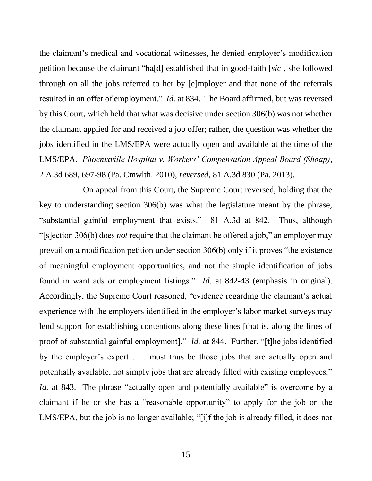the claimant's medical and vocational witnesses, he denied employer's modification petition because the claimant "ha[d] established that in good-faith [*sic*], she followed through on all the jobs referred to her by [e]mployer and that none of the referrals resulted in an offer of employment." *Id.* at 834. The Board affirmed, but was reversed by this Court, which held that what was decisive under section 306(b) was not whether the claimant applied for and received a job offer; rather, the question was whether the jobs identified in the LMS/EPA were actually open and available at the time of the LMS/EPA. *Phoenixville Hospital v. Workers' Compensation Appeal Board (Shoap)*, 2 A.3d 689, 697-98 (Pa. Cmwlth. 2010), *reversed*, 81 A.3d 830 (Pa. 2013).

On appeal from this Court, the Supreme Court reversed, holding that the key to understanding section 306(b) was what the legislature meant by the phrase, "substantial gainful employment that exists." 81 A.3d at 842. Thus, although "[s]ection 306(b) does *not* require that the claimant be offered a job," an employer may prevail on a modification petition under section 306(b) only if it proves "the existence of meaningful employment opportunities, and not the simple identification of jobs found in want ads or employment listings." *Id.* at 842-43 (emphasis in original). Accordingly, the Supreme Court reasoned, "evidence regarding the claimant's actual experience with the employers identified in the employer's labor market surveys may lend support for establishing contentions along these lines [that is, along the lines of proof of substantial gainful employment]." *Id.* at 844. Further, "[t]he jobs identified by the employer's expert . . . must thus be those jobs that are actually open and potentially available, not simply jobs that are already filled with existing employees." *Id.* at 843. The phrase "actually open and potentially available" is overcome by a claimant if he or she has a "reasonable opportunity" to apply for the job on the LMS/EPA, but the job is no longer available; "[i]f the job is already filled, it does not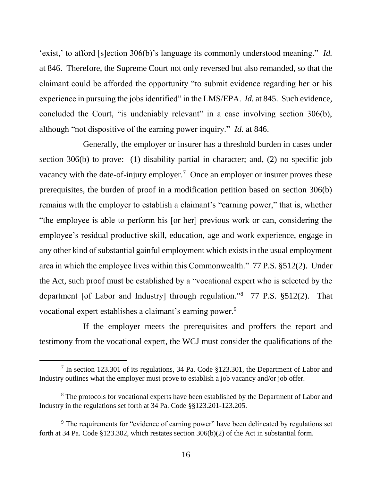'exist,' to afford [s]ection 306(b)'s language its commonly understood meaning." *Id.*  at 846. Therefore, the Supreme Court not only reversed but also remanded, so that the claimant could be afforded the opportunity "to submit evidence regarding her or his experience in pursuing the jobs identified" in the LMS/EPA. *Id.* at 845. Such evidence, concluded the Court, "is undeniably relevant" in a case involving section 306(b), although "not dispositive of the earning power inquiry." *Id.* at 846.

Generally, the employer or insurer has a threshold burden in cases under section 306(b) to prove: (1) disability partial in character; and, (2) no specific job vacancy with the date-of-injury employer.<sup>7</sup> Once an employer or insurer proves these prerequisites, the burden of proof in a modification petition based on section 306(b) remains with the employer to establish a claimant's "earning power," that is, whether "the employee is able to perform his [or her] previous work or can, considering the employee's residual productive skill, education, age and work experience, engage in any other kind of substantial gainful employment which exists in the usual employment area in which the employee lives within this Commonwealth." 77 P.S. §512(2). Under the Act, such proof must be established by a "vocational expert who is selected by the department [of Labor and Industry] through regulation."<sup>8</sup> 77 P.S. §512(2). That vocational expert establishes a claimant's earning power.<sup>9</sup>

If the employer meets the prerequisites and proffers the report and testimony from the vocational expert, the WCJ must consider the qualifications of the

<sup>&</sup>lt;sup>7</sup> In section 123.301 of its regulations, 34 Pa. Code §123.301, the Department of Labor and Industry outlines what the employer must prove to establish a job vacancy and/or job offer.

<sup>&</sup>lt;sup>8</sup> The protocols for vocational experts have been established by the Department of Labor and Industry in the regulations set forth at 34 Pa. Code §§123.201-123.205.

<sup>&</sup>lt;sup>9</sup> The requirements for "evidence of earning power" have been delineated by regulations set forth at 34 Pa. Code §123.302, which restates section 306(b)(2) of the Act in substantial form.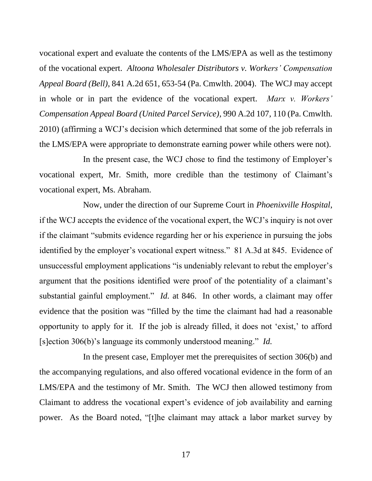vocational expert and evaluate the contents of the LMS/EPA as well as the testimony of the vocational expert. *Altoona Wholesaler Distributors v. Workers' Compensation Appeal Board (Bell)*, 841 A.2d 651, 653-54 (Pa. Cmwlth. 2004). The WCJ may accept in whole or in part the evidence of the vocational expert. *Marx v. Workers' Compensation Appeal Board (United Parcel Service)*, 990 A.2d 107, 110 (Pa. Cmwlth. 2010) (affirming a WCJ's decision which determined that some of the job referrals in the LMS/EPA were appropriate to demonstrate earning power while others were not).

In the present case, the WCJ chose to find the testimony of Employer's vocational expert, Mr. Smith, more credible than the testimony of Claimant's vocational expert, Ms. Abraham.

Now, under the direction of our Supreme Court in *Phoenixville Hospital*, if the WCJ accepts the evidence of the vocational expert, the WCJ's inquiry is not over if the claimant "submits evidence regarding her or his experience in pursuing the jobs identified by the employer's vocational expert witness." 81 A.3d at 845. Evidence of unsuccessful employment applications "is undeniably relevant to rebut the employer's argument that the positions identified were proof of the potentiality of a claimant's substantial gainful employment." *Id.* at 846. In other words, a claimant may offer evidence that the position was "filled by the time the claimant had had a reasonable opportunity to apply for it. If the job is already filled, it does not 'exist,' to afford [s]ection 306(b)'s language its commonly understood meaning." *Id.* 

In the present case, Employer met the prerequisites of section 306(b) and the accompanying regulations, and also offered vocational evidence in the form of an LMS/EPA and the testimony of Mr. Smith. The WCJ then allowed testimony from Claimant to address the vocational expert's evidence of job availability and earning power. As the Board noted, "[t]he claimant may attack a labor market survey by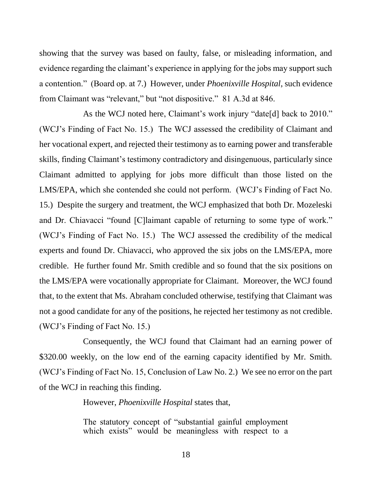showing that the survey was based on faulty, false, or misleading information, and evidence regarding the claimant's experience in applying for the jobs may support such a contention." (Board op. at 7.) However, under *Phoenixville Hospital*, such evidence from Claimant was "relevant," but "not dispositive." 81 A.3d at 846.

As the WCJ noted here, Claimant's work injury "date[d] back to 2010." (WCJ's Finding of Fact No. 15.) The WCJ assessed the credibility of Claimant and her vocational expert, and rejected their testimony as to earning power and transferable skills, finding Claimant's testimony contradictory and disingenuous, particularly since Claimant admitted to applying for jobs more difficult than those listed on the LMS/EPA, which she contended she could not perform. (WCJ's Finding of Fact No. 15.) Despite the surgery and treatment, the WCJ emphasized that both Dr. Mozeleski and Dr. Chiavacci "found [C]laimant capable of returning to some type of work." (WCJ's Finding of Fact No. 15.) The WCJ assessed the credibility of the medical experts and found Dr. Chiavacci, who approved the six jobs on the LMS/EPA, more credible. He further found Mr. Smith credible and so found that the six positions on the LMS/EPA were vocationally appropriate for Claimant. Moreover, the WCJ found that, to the extent that Ms. Abraham concluded otherwise, testifying that Claimant was not a good candidate for any of the positions, he rejected her testimony as not credible. (WCJ's Finding of Fact No. 15.)

Consequently, the WCJ found that Claimant had an earning power of \$320.00 weekly, on the low end of the earning capacity identified by Mr. Smith. (WCJ's Finding of Fact No. 15, Conclusion of Law No. 2.) We see no error on the part of the WCJ in reaching this finding.

However, *Phoenixville Hospital* states that,

The statutory concept of "substantial gainful employment which exists" would be meaningless with respect to a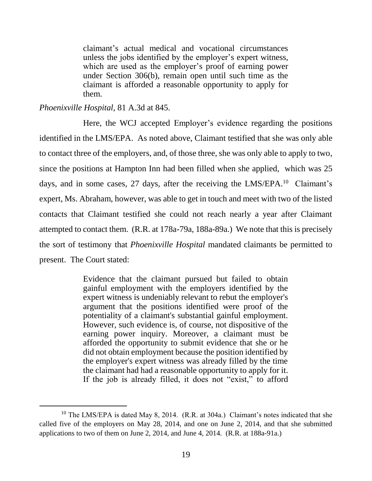claimant's actual medical and vocational circumstances unless the jobs identified by the employer's expert witness, which are used as the employer's proof of earning power under Section 306(b), remain open until such time as the claimant is afforded a reasonable opportunity to apply for them.

## *Phoenixville Hospital*, 81 A.3d at 845.

l

Here, the WCJ accepted Employer's evidence regarding the positions identified in the LMS/EPA. As noted above, Claimant testified that she was only able to contact three of the employers, and, of those three, she was only able to apply to two, since the positions at Hampton Inn had been filled when she applied, which was 25 days, and in some cases, 27 days, after the receiving the LMS/EPA.<sup>10</sup> Claimant's expert, Ms. Abraham, however, was able to get in touch and meet with two of the listed contacts that Claimant testified she could not reach nearly a year after Claimant attempted to contact them. (R.R. at 178a-79a, 188a-89a.) We note that this is precisely the sort of testimony that *Phoenixville Hospital* mandated claimants be permitted to present. The Court stated:

> Evidence that the claimant pursued but failed to obtain gainful employment with the employers identified by the expert witness is undeniably relevant to rebut the employer's argument that the positions identified were proof of the potentiality of a claimant's substantial gainful employment. However, such evidence is, of course, not dispositive of the earning power inquiry. Moreover, a claimant must be afforded the opportunity to submit evidence that she or he did not obtain employment because the position identified by the employer's expert witness was already filled by the time the claimant had had a reasonable opportunity to apply for it. If the job is already filled, it does not "exist," to afford

<sup>&</sup>lt;sup>10</sup> The LMS/EPA is dated May 8, 2014. (R.R. at 304a.) Claimant's notes indicated that she called five of the employers on May 28, 2014, and one on June 2, 2014, and that she submitted applications to two of them on June 2, 2014, and June 4, 2014. (R.R. at 188a-91a.)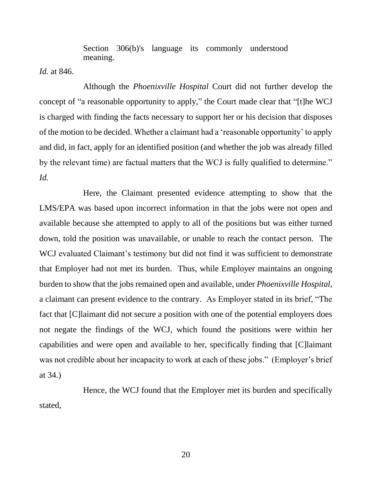Section 306(b)'s language its commonly understood meaning.

*Id.* at 846.

Although the *Phoenixville Hospital* Court did not further develop the concept of "a reasonable opportunity to apply," the Court made clear that "[t]he WCJ is charged with finding the facts necessary to support her or his decision that disposes of the motion to be decided. Whether a claimant had a 'reasonable opportunity' to apply and did, in fact, apply for an identified position (and whether the job was already filled by the relevant time) are factual matters that the WCJ is fully qualified to determine." *Id.*

Here, the Claimant presented evidence attempting to show that the LMS/EPA was based upon incorrect information in that the jobs were not open and available because she attempted to apply to all of the positions but was either turned down, told the position was unavailable, or unable to reach the contact person. The WCJ evaluated Claimant's testimony but did not find it was sufficient to demonstrate that Employer had not met its burden. Thus, while Employer maintains an ongoing burden to show that the jobs remained open and available, under *Phoenixville Hospital*, a claimant can present evidence to the contrary. As Employer stated in its brief, "The fact that [C]laimant did not secure a position with one of the potential employers does not negate the findings of the WCJ, which found the positions were within her capabilities and were open and available to her, specifically finding that [C]laimant was not credible about her incapacity to work at each of these jobs." (Employer's brief at 34.)

Hence, the WCJ found that the Employer met its burden and specifically stated,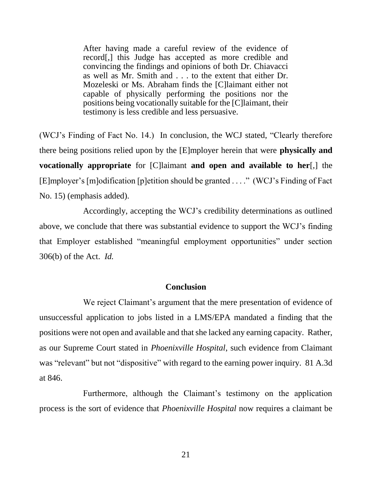After having made a careful review of the evidence of record[,] this Judge has accepted as more credible and convincing the findings and opinions of both Dr. Chiavacci as well as Mr. Smith and . . . to the extent that either Dr. Mozeleski or Ms. Abraham finds the [C]laimant either not capable of physically performing the positions nor the positions being vocationally suitable for the [C]laimant, their testimony is less credible and less persuasive.

(WCJ's Finding of Fact No. 14.) In conclusion, the WCJ stated, "Clearly therefore there being positions relied upon by the [E]mployer herein that were **physically and vocationally appropriate** for [C]laimant **and open and available to her**[,] the [E]mployer's [m]odification [p]etition should be granted . . . ." (WCJ's Finding of Fact No. 15) (emphasis added).

Accordingly, accepting the WCJ's credibility determinations as outlined above, we conclude that there was substantial evidence to support the WCJ's finding that Employer established "meaningful employment opportunities" under section 306(b) of the Act. *Id.*

#### **Conclusion**

We reject Claimant's argument that the mere presentation of evidence of unsuccessful application to jobs listed in a LMS/EPA mandated a finding that the positions were not open and available and that she lacked any earning capacity. Rather, as our Supreme Court stated in *Phoenixville Hospital*, such evidence from Claimant was "relevant" but not "dispositive" with regard to the earning power inquiry. 81 A.3d at 846.

Furthermore, although the Claimant's testimony on the application process is the sort of evidence that *Phoenixville Hospital* now requires a claimant be

21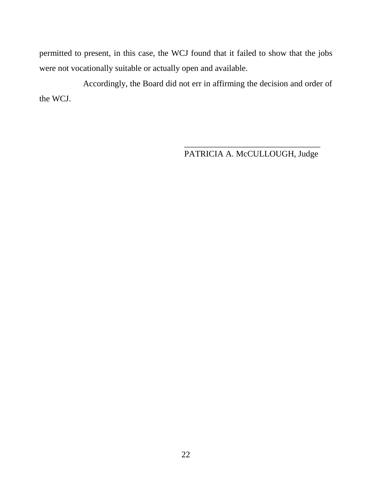permitted to present, in this case, the WCJ found that it failed to show that the jobs were not vocationally suitable or actually open and available.

Accordingly, the Board did not err in affirming the decision and order of the WCJ.

> \_\_\_\_\_\_\_\_\_\_\_\_\_\_\_\_\_\_\_\_\_\_\_\_\_\_\_\_\_\_\_\_ PATRICIA A. McCULLOUGH, Judge